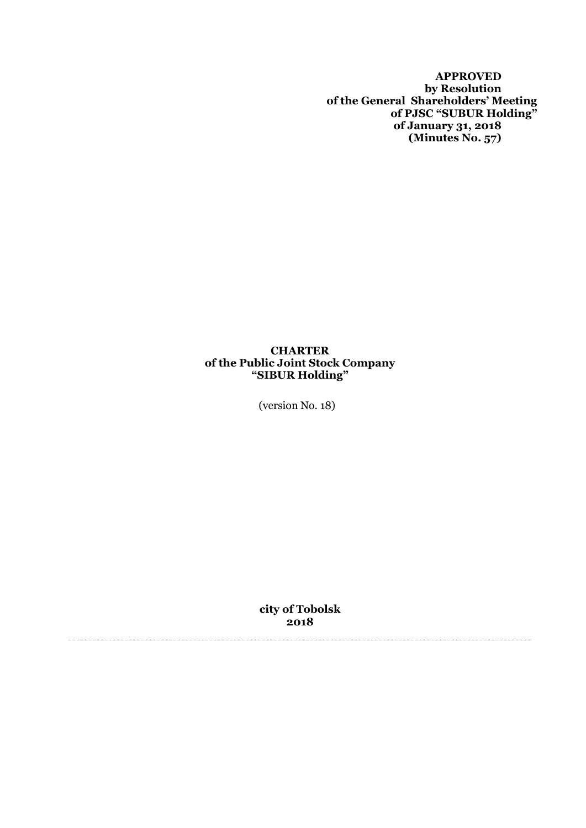**APPROVED by Resolution of the General Shareholders' Meeting of PJSC "SUBUR Holding" of January 31, 2018 (Minutes No. 57)**

# **CHARTER of the Public Joint Stock Company "SIBUR Holding"**

(version No. 18)

**city of Tobolsk 2018**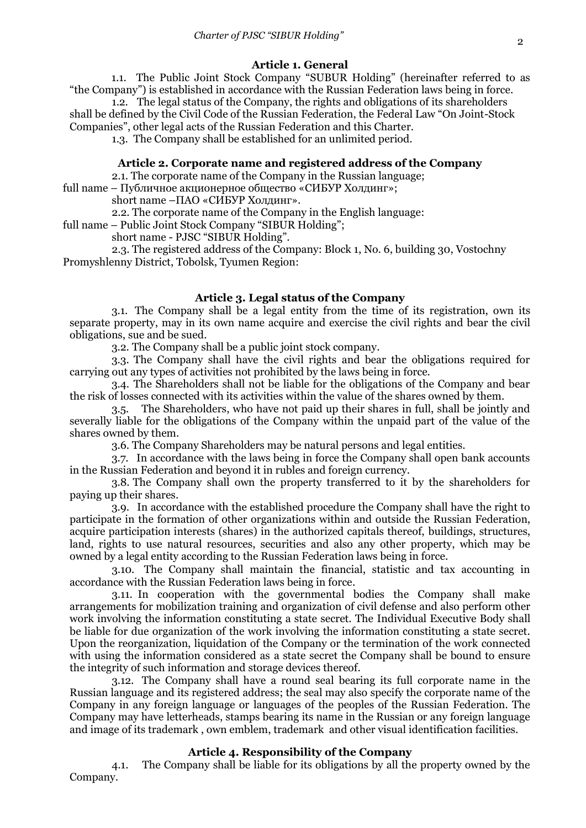### **Article 1. General**

1.1. The Public Joint Stock Company "SUBUR Holding" (hereinafter referred to as "the Company") is established in accordance with the Russian Federation laws being in force.

1.2. The legal status of the Company, the rights and obligations of its shareholders shall be defined by the Civil Code of the Russian Federation, the Federal Law "On Joint-Stock Companies", other legal acts of the Russian Federation and this Charter.

1.3. The Company shall be established for an unlimited period.

### **Article 2. Corporate name and registered address of the Company**

2.1. The corporate name of the Company in the Russian language;

full name – Публичное акционерное общество «СИБУР Холдинг»;

short name –ПАО «СИБУР Холдинг».

2.2. The corporate name of the Company in the English language:

full name – Public Joint Stock Company "SIBUR Holding";

short name - PJSC "SIBUR Holding".

2.3. The registered address of the Company: Block 1, No. 6, building 30, Vostochny Promyshlenny District, Tobolsk, Tyumen Region:

### **Article 3. Legal status of the Company**

3.1. The Company shall be a legal entity from the time of its registration, own its separate property, may in its own name acquire and exercise the civil rights and bear the civil obligations, sue and be sued.

3.2. The Company shall be a public joint stock company.

3.3. The Company shall have the civil rights and bear the obligations required for carrying out any types of activities not prohibited by the laws being in force.

3.4. The Shareholders shall not be liable for the obligations of the Company and bear the risk of losses connected with its activities within the value of the shares owned by them.

3.5. The Shareholders, who have not paid up their shares in full, shall be jointly and severally liable for the obligations of the Company within the unpaid part of the value of the shares owned by them.

3.6. The Company Shareholders may be natural persons and legal entities.

3.7. In accordance with the laws being in force the Company shall open bank accounts in the Russian Federation and beyond it in rubles and foreign currency.

3.8. The Company shall own the property transferred to it by the shareholders for paying up their shares.

3.9. In accordance with the established procedure the Company shall have the right to participate in the formation of other organizations within and outside the Russian Federation, acquire participation interests (shares) in the authorized capitals thereof, buildings, structures, land, rights to use natural resources, securities and also any other property, which may be owned by a legal entity according to the Russian Federation laws being in force.

3.10. The Company shall maintain the financial, statistic and tax accounting in accordance with the Russian Federation laws being in force.

3.11. In cooperation with the governmental bodies the Company shall make arrangements for mobilization training and organization of civil defense and also perform other work involving the information constituting a state secret. The Individual Executive Body shall be liable for due organization of the work involving the information constituting a state secret. Upon the reorganization, liquidation of the Company or the termination of the work connected with using the information considered as a state secret the Company shall be bound to ensure the integrity of such information and storage devices thereof.

3.12. The Company shall have a round seal bearing its full corporate name in the Russian language and its registered address; the seal may also specify the corporate name of the Company in any foreign language or languages of the peoples of the Russian Federation. The Company may have letterheads, stamps bearing its name in the Russian or any foreign language and image of its trademark , own emblem, trademark and other visual identification facilities.

### **Article 4. Responsibility of the Company**

4.1. The Company shall be liable for its obligations by all the property owned by the Company.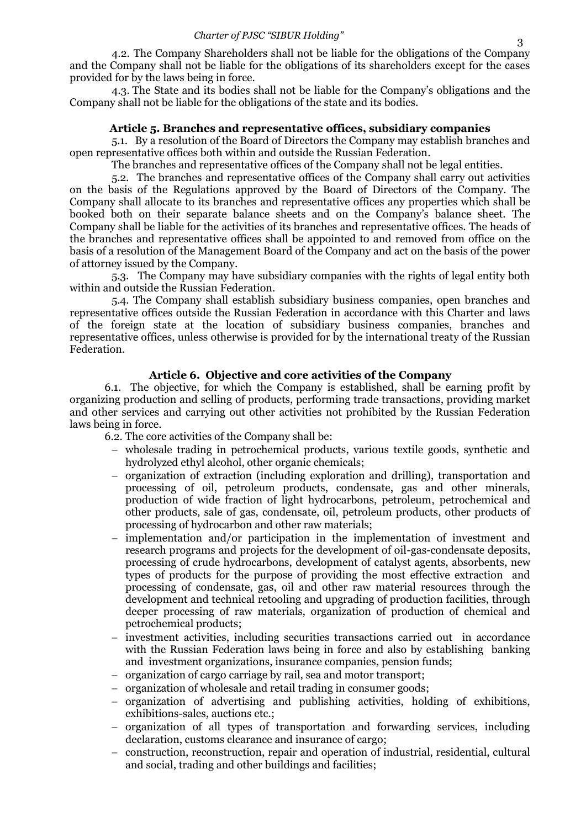4.2. The Company Shareholders shall not be liable for the obligations of the Company and the Company shall not be liable for the obligations of its shareholders except for the cases provided for by the laws being in force.

4.3. The State and its bodies shall not be liable for the Company's obligations and the Company shall not be liable for the obligations of the state and its bodies.

### **Article 5. Branches and representative offices, subsidiary companies**

5.1. By a resolution of the Board of Directors the Company may establish branches and open representative offices both within and outside the Russian Federation.

The branches and representative offices of the Company shall not be legal entities.

5.2. The branches and representative offices of the Company shall carry out activities on the basis of the Regulations approved by the Board of Directors of the Company. The Company shall allocate to its branches and representative offices any properties which shall be booked both on their separate balance sheets and on the Company's balance sheet. The Company shall be liable for the activities of its branches and representative offices. The heads of the branches and representative offices shall be appointed to and removed from office on the basis of a resolution of the Management Board of the Company and act on the basis of the power of attorney issued by the Company.

5.3. The Company may have subsidiary companies with the rights of legal entity both within and outside the Russian Federation.

5.4. The Company shall establish subsidiary business companies, open branches and representative offices outside the Russian Federation in accordance with this Charter and laws of the foreign state at the location of subsidiary business companies, branches and representative offices, unless otherwise is provided for by the international treaty of the Russian Federation.

### **Article 6. Objective and core activities of the Company**

6.1. The objective, for which the Company is established, shall be earning profit by organizing production and selling of products, performing trade transactions, providing market and other services and carrying out other activities not prohibited by the Russian Federation laws being in force.

6.2. The core activities of the Company shall be:

- wholesale trading in petrochemical products, various textile goods, synthetic and hydrolyzed ethyl alcohol, other organic chemicals;
- organization of extraction (including exploration and drilling), transportation and processing of oil, petroleum products, condensate, gas and other minerals, production of wide fraction of light hydrocarbons, petroleum, petrochemical and other products, sale of gas, condensate, oil, petroleum products, other products of processing of hydrocarbon and other raw materials;
- implementation and/or participation in the implementation of investment and research programs and projects for the development of oil-gas-condensate deposits, processing of crude hydrocarbons, development of catalyst agents, absorbents, new types of products for the purpose of providing the most effective extraction and processing of condensate, gas, oil and other raw material resources through the development and technical retooling and upgrading of production facilities, through deeper processing of raw materials, organization of production of chemical and petrochemical products;
- investment activities, including securities transactions carried out in accordance with the Russian Federation laws being in force and also by establishing banking and investment organizations, insurance companies, pension funds;
- organization of cargo carriage by rail, sea and motor transport;
- organization of wholesale and retail trading in consumer goods;
- organization of advertising and publishing activities, holding of exhibitions, exhibitions-sales, auctions etc.;
- organization of all types of transportation and forwarding services, including declaration, customs clearance and insurance of cargo;
- construction, reconstruction, repair and operation of industrial, residential, cultural and social, trading and other buildings and facilities;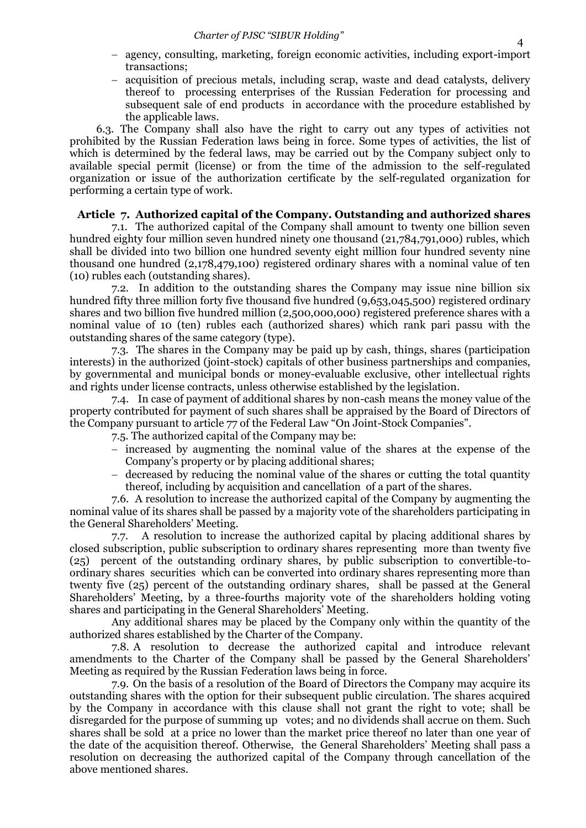- agency, consulting, marketing, foreign economic activities, including export-import transactions;
- acquisition of precious metals, including scrap, waste and dead catalysts, delivery thereof to processing enterprises of the Russian Federation for processing and subsequent sale of end products in accordance with the procedure established by the applicable laws.

6.3. The Company shall also have the right to carry out any types of activities not prohibited by the Russian Federation laws being in force. Some types of activities, the list of which is determined by the federal laws, may be carried out by the Company subject only to available special permit (license) or from the time of the admission to the self-regulated organization or issue of the authorization certificate by the self-regulated organization for performing a certain type of work.

### **Article 7. Authorized capital of the Company. Outstanding and authorized shares**

7.1. The authorized capital of the Company shall amount to twenty one billion seven hundred eighty four million seven hundred ninety one thousand (21,784,791,000) rubles, which shall be divided into two billion one hundred seventy eight million four hundred seventy nine thousand one hundred (2,178,479,100) registered ordinary shares with a nominal value of ten (10) rubles each (outstanding shares).

7.2. In addition to the outstanding shares the Company may issue nine billion six hundred fifty three million forty five thousand five hundred (9,653,045,500) registered ordinary shares and two billion five hundred million (2,500,000,000) registered preference shares with a nominal value of 10 (ten) rubles each (authorized shares) which rank pari passu with the outstanding shares of the same category (type).

7.3. The shares in the Company may be paid up by cash, things, shares (participation interests) in the authorized (joint-stock) capitals of other business partnerships and companies, by governmental and municipal bonds or money-evaluable exclusive, other intellectual rights and rights under license contracts, unless otherwise established by the legislation.

7.4. In case of payment of additional shares by non-cash means the money value of the property contributed for payment of such shares shall be appraised by the Board of Directors of the Company pursuant to article 77 of the Federal Law "On Joint-Stock Companies".

7.5. The authorized capital of the Company may be:

- increased by augmenting the nominal value of the shares at the expense of the Company's property or by placing additional shares;
- $\overline{a}$  decreased by reducing the nominal value of the shares or cutting the total quantity thereof, including by acquisition and cancellation of a part of the shares.

7.6. A resolution to increase the authorized capital of the Company by augmenting the nominal value of its shares shall be passed by a majority vote of the shareholders participating in the General Shareholders' Meeting.

7.7. A resolution to increase the authorized capital by placing additional shares by closed subscription, public subscription to ordinary shares representing more than twenty five (25) percent of the outstanding ordinary shares, by public subscription to convertible-toordinary shares securities which can be converted into ordinary shares representing more than twenty five (25) percent of the outstanding ordinary shares, shall be passed at the General Shareholders' Meeting, by a three-fourths majority vote of the shareholders holding voting shares and participating in the General Shareholders' Meeting.

Any additional shares may be placed by the Company only within the quantity of the authorized shares established by the Charter of the Company.

7.8. A resolution to decrease the authorized capital and introduce relevant amendments to the Charter of the Company shall be passed by the General Shareholders' Meeting as required by the Russian Federation laws being in force.

7.9. On the basis of a resolution of the Board of Directors the Company may acquire its outstanding shares with the option for their subsequent public circulation. The shares acquired by the Company in accordance with this clause shall not grant the right to vote; shall be disregarded for the purpose of summing up votes; and no dividends shall accrue on them. Such shares shall be sold at a price no lower than the market price thereof no later than one year of the date of the acquisition thereof. Otherwise, the General Shareholders' Meeting shall pass a resolution on decreasing the authorized capital of the Company through cancellation of the above mentioned shares.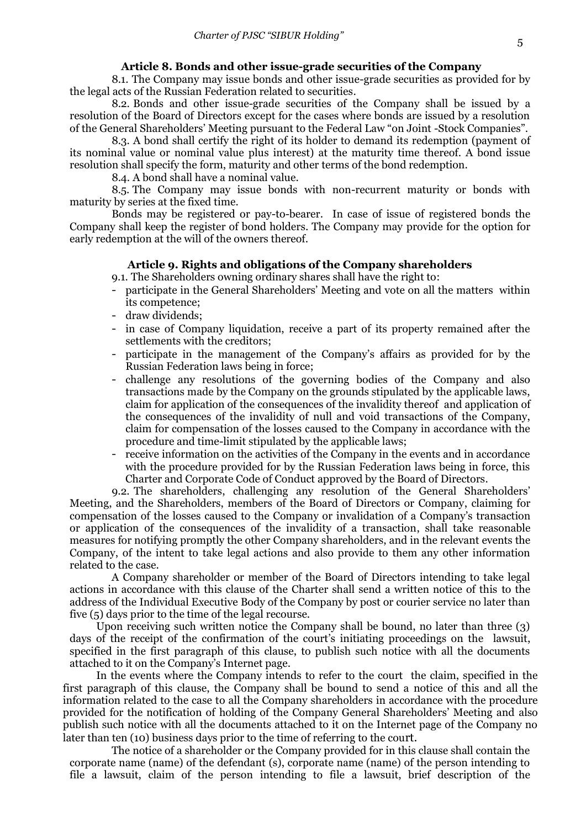### **Article 8. Bonds and other issue-grade securities of the Company**

8.1. The Company may issue bonds and other issue-grade securities as provided for by the legal acts of the Russian Federation related to securities.

8.2. Bonds and other issue-grade securities of the Company shall be issued by a resolution of the Board of Directors except for the cases where bonds are issued by a resolution of the General Shareholders' Meeting pursuant to the Federal Law "on Joint -Stock Companies".

8.3. A bond shall certify the right of its holder to demand its redemption (payment of its nominal value or nominal value plus interest) at the maturity time thereof. A bond issue resolution shall specify the form, maturity and other terms of the bond redemption.

8.4. A bond shall have a nominal value.

8.5. The Company may issue bonds with non-recurrent maturity or bonds with maturity by series at the fixed time.

Bonds may be registered or pay-to-bearer. In case of issue of registered bonds the Company shall keep the register of bond holders. The Company may provide for the option for early redemption at the will of the owners thereof.

### **Article 9. Rights and obligations of the Company shareholders**

9.1. The Shareholders owning ordinary shares shall have the right to:

- participate in the General Shareholders' Meeting and vote on all the matters within its competence;
- draw dividends:
- in case of Company liquidation, receive a part of its property remained after the settlements with the creditors;
- participate in the management of the Company's affairs as provided for by the Russian Federation laws being in force;
- challenge any resolutions of the governing bodies of the Company and also transactions made by the Company on the grounds stipulated by the applicable laws, claim for application of the consequences of the invalidity thereof and application of the consequences of the invalidity of null and void transactions of the Company, claim for compensation of the losses caused to the Company in accordance with the procedure and time-limit stipulated by the applicable laws;
- receive information on the activities of the Company in the events and in accordance with the procedure provided for by the Russian Federation laws being in force, this Charter and Corporate Code of Conduct approved by the Board of Directors.

9.2. The shareholders, challenging any resolution of the General Shareholders' Meeting, and the Shareholders, members of the Board of Directors or Company, claiming for compensation of the losses caused to the Company or invalidation of a Company's transaction or application of the consequences of the invalidity of a transaction, shall take reasonable measures for notifying promptly the other Company shareholders, and in the relevant events the Company, of the intent to take legal actions and also provide to them any other information related to the case.

A Company shareholder or member of the Board of Directors intending to take legal actions in accordance with this clause of the Charter shall send a written notice of this to the address of the Individual Executive Body of the Company by post or courier service no later than five (5) days prior to the time of the legal recourse.

Upon receiving such written notice the Company shall be bound, no later than three (3) days of the receipt of the confirmation of the court's initiating proceedings on the lawsuit, specified in the first paragraph of this clause, to publish such notice with all the documents attached to it on the Company's Internet page.

In the events where the Company intends to refer to the court the claim, specified in the first paragraph of this clause, the Company shall be bound to send a notice of this and all the information related to the case to all the Company shareholders in accordance with the procedure provided for the notification of holding of the Company General Shareholders' Meeting and also publish such notice with all the documents attached to it on the Internet page of the Company no later than ten (10) business days prior to the time of referring to the court.

The notice of a shareholder or the Company provided for in this clause shall contain the corporate name (name) of the defendant (s), corporate name (name) of the person intending to file a lawsuit, claim of the person intending to file a lawsuit, brief description of the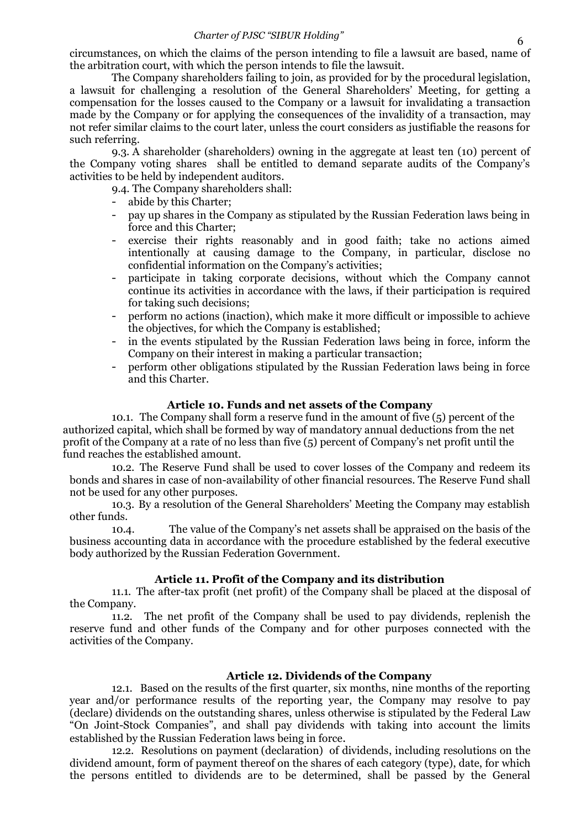#### *Charter of PJSC "SIBUR Holding"* <sup>6</sup>

circumstances, on which the claims of the person intending to file a lawsuit are based, name of the arbitration court, with which the person intends to file the lawsuit.

The Company shareholders failing to join, as provided for by the procedural legislation, a lawsuit for challenging a resolution of the General Shareholders' Meeting, for getting a compensation for the losses caused to the Company or a lawsuit for invalidating a transaction made by the Company or for applying the consequences of the invalidity of a transaction, may not refer similar claims to the court later, unless the court considers as justifiable the reasons for such referring.

9.3. A shareholder (shareholders) owning in the aggregate at least ten (10) percent of the Company voting shares shall be entitled to demand separate audits of the Company's activities to be held by independent auditors.

9.4. The Company shareholders shall:

- abide by this Charter;
- pay up shares in the Company as stipulated by the Russian Federation laws being in force and this Charter;
- exercise their rights reasonably and in good faith; take no actions aimed intentionally at causing damage to the Company, in particular, disclose no confidential information on the Company's activities;
- participate in taking corporate decisions, without which the Company cannot continue its activities in accordance with the laws, if their participation is required for taking such decisions;
- perform no actions (inaction), which make it more difficult or impossible to achieve the objectives, for which the Company is established;
- in the events stipulated by the Russian Federation laws being in force, inform the Company on their interest in making a particular transaction;
- perform other obligations stipulated by the Russian Federation laws being in force and this Charter.

### **Article 10. Funds and net assets of the Company**

10.1. The Company shall form a reserve fund in the amount of five (5) percent of the authorized capital, which shall be formed by way of mandatory annual deductions from the net profit of the Company at a rate of no less than five (5) percent of Company's net profit until the fund reaches the established amount.

10.2. The Reserve Fund shall be used to cover losses of the Company and redeem its bonds and shares in case of non-availability of other financial resources. The Reserve Fund shall not be used for any other purposes.

10.3. By a resolution of the General Shareholders' Meeting the Company may establish other funds.

10.4. The value of the Company's net assets shall be appraised on the basis of the business accounting data in accordance with the procedure established by the federal executive body authorized by the Russian Federation Government.

### **Article 11. Profit of the Company and its distribution**

11.1. The after-tax profit (net profit) of the Company shall be placed at the disposal of the Company.

11.2. The net profit of the Company shall be used to pay dividends, replenish the reserve fund and other funds of the Company and for other purposes connected with the activities of the Company.

### **Article 12. Dividends of the Company**

12.1. Based on the results of the first quarter, six months, nine months of the reporting year and/or performance results of the reporting year, the Company may resolve to pay (declare) dividends on the outstanding shares, unless otherwise is stipulated by the Federal Law "On Joint-Stock Companies", and shall pay dividends with taking into account the limits established by the Russian Federation laws being in force.

12.2. Resolutions on payment (declaration) of dividends, including resolutions on the dividend amount, form of payment thereof on the shares of each category (type), date, for which the persons entitled to dividends are to be determined, shall be passed by the General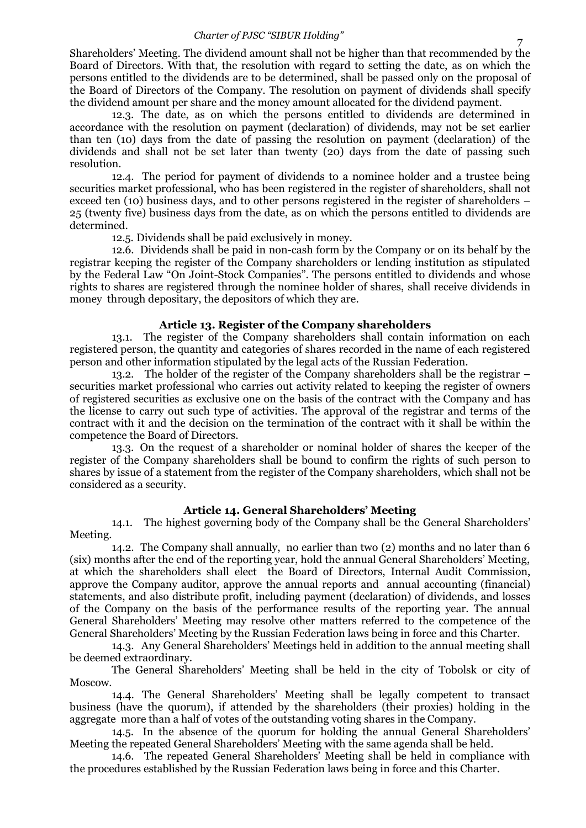#### *Charter of PJSC "SIBUR Holding"*

Shareholders' Meeting. The dividend amount shall not be higher than that recommended by the Board of Directors. With that, the resolution with regard to setting the date, as on which the persons entitled to the dividends are to be determined, shall be passed only on the proposal of the Board of Directors of the Company. The resolution on payment of dividends shall specify the dividend amount per share and the money amount allocated for the dividend payment.

12.3. The date, as on which the persons entitled to dividends are determined in accordance with the resolution on payment (declaration) of dividends, may not be set earlier than ten (10) days from the date of passing the resolution on payment (declaration) of the dividends and shall not be set later than twenty (20) days from the date of passing such resolution.

12.4. The period for payment of dividends to a nominee holder and a trustee being securities market professional, who has been registered in the register of shareholders, shall not exceed ten (10) business days, and to other persons registered in the register of shareholders – 25 (twenty five) business days from the date, as on which the persons entitled to dividends are determined.

12.5. Dividends shall be paid exclusively in money.

12.6. Dividends shall be paid in non-cash form by the Company or on its behalf by the registrar keeping the register of the Company shareholders or lending institution as stipulated by the Federal Law "On Joint-Stock Companies". The persons entitled to dividends and whose rights to shares are registered through the nominee holder of shares, shall receive dividends in money through depositary, the depositors of which they are.

### **Article 13. Register of the Company shareholders**

13.1. The register of the Company shareholders shall contain information on each registered person, the quantity and categories of shares recorded in the name of each registered person and other information stipulated by the legal acts of the Russian Federation.

13.2. The holder of the register of the Company shareholders shall be the registrar – securities market professional who carries out activity related to keeping the register of owners of registered securities as exclusive one on the basis of the contract with the Company and has the license to carry out such type of activities. The approval of the registrar and terms of the contract with it and the decision on the termination of the contract with it shall be within the competence the Board of Directors.

13.3. On the request of a shareholder or nominal holder of shares the keeper of the register of the Company shareholders shall be bound to confirm the rights of such person to shares by issue of a statement from the register of the Company shareholders, which shall not be considered as a security.

## **Article 14. General Shareholders' Meeting**

14.1. The highest governing body of the Company shall be the General Shareholders' Meeting.

14.2. The Company shall annually, no earlier than two (2) months and no later than 6 (six) months after the end of the reporting year, hold the annual General Shareholders' Meeting, at which the shareholders shall elect the Board of Directors, Internal Audit Commission, approve the Company auditor, approve the annual reports and annual accounting (financial) statements, and also distribute profit, including payment (declaration) of dividends, and losses of the Company on the basis of the performance results of the reporting year. The annual General Shareholders' Meeting may resolve other matters referred to the competence of the General Shareholders' Meeting by the Russian Federation laws being in force and this Charter.

14.3. Any General Shareholders' Meetings held in addition to the annual meeting shall be deemed extraordinary.

The General Shareholders' Meeting shall be held in the city of Tobolsk or city of Moscow.

14.4. The General Shareholders' Meeting shall be legally competent to transact business (have the quorum), if attended by the shareholders (their proxies) holding in the aggregate more than a half of votes of the outstanding voting shares in the Company.

14.5. In the absence of the quorum for holding the annual General Shareholders' Meeting the repeated General Shareholders' Meeting with the same agenda shall be held.

14.6. The repeated General Shareholders' Meeting shall be held in compliance with the procedures established by the Russian Federation laws being in force and this Charter.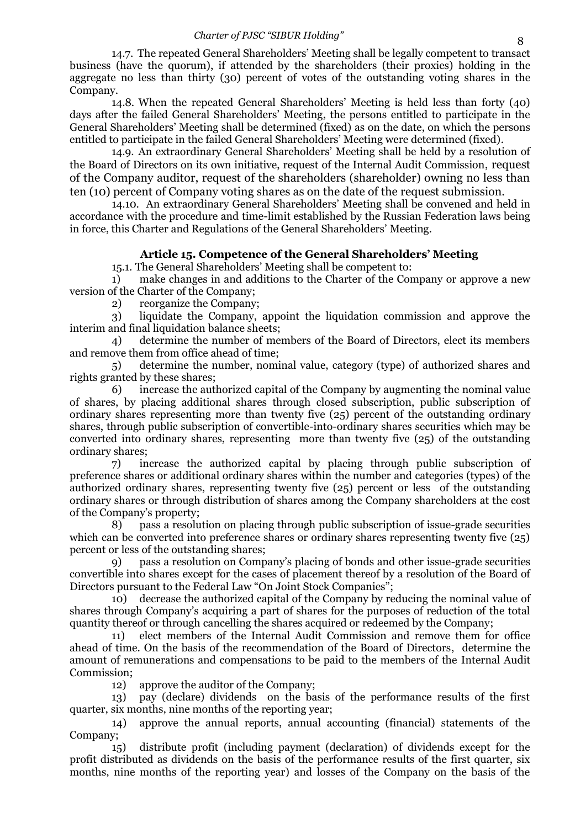14.7. The repeated General Shareholders' Meeting shall be legally competent to transact business (have the quorum), if attended by the shareholders (their proxies) holding in the aggregate no less than thirty (30) percent of votes of the outstanding voting shares in the Company.

14.8. When the repeated General Shareholders' Meeting is held less than forty (40) days after the failed General Shareholders' Meeting, the persons entitled to participate in the General Shareholders' Meeting shall be determined (fixed) as on the date, on which the persons entitled to participate in the failed General Shareholders' Meeting were determined (fixed).

14.9. An extraordinary General Shareholders' Meeting shall be held by a resolution of the Board of Directors on its own initiative, request of the Internal Audit Commission, request of the Company auditor, request of the shareholders (shareholder) owning no less than ten (10) percent of Company voting shares as on the date of the request submission.

14.10. An extraordinary General Shareholders' Meeting shall be convened and held in accordance with the procedure and time-limit established by the Russian Federation laws being in force, this Charter and Regulations of the General Shareholders' Meeting.

# **Article 15. Competence of the General Shareholders' Meeting**

15.1. The General Shareholders' Meeting shall be competent to:

1) make changes in and additions to the Charter of the Company or approve a new version of the Charter of the Company;

2) reorganize the Company;

3) liquidate the Company, appoint the liquidation commission and approve the interim and final liquidation balance sheets;

4) determine the number of members of the Board of Directors, elect its members and remove them from office ahead of time;

5) determine the number, nominal value, category (type) of authorized shares and rights granted by these shares;

6) increase the authorized capital of the Company by augmenting the nominal value of shares, by placing additional shares through closed subscription, public subscription of ordinary shares representing more than twenty five (25) percent of the outstanding ordinary shares, through public subscription of convertible-into-ordinary shares securities which may be converted into ordinary shares, representing more than twenty five (25) of the outstanding ordinary shares;

7) increase the authorized capital by placing through public subscription of preference shares or additional ordinary shares within the number and categories (types) of the authorized ordinary shares, representing twenty five (25) percent or less of the outstanding ordinary shares or through distribution of shares among the Company shareholders at the cost of the Company's property;

8) pass a resolution on placing through public subscription of issue-grade securities which can be converted into preference shares or ordinary shares representing twenty five (25) percent or less of the outstanding shares;

9) pass a resolution on Company's placing of bonds and other issue-grade securities convertible into shares except for the cases of placement thereof by a resolution of the Board of Directors pursuant to the Federal Law "On Joint Stock Companies";

10) decrease the authorized capital of the Company by reducing the nominal value of shares through Company's acquiring a part of shares for the purposes of reduction of the total quantity thereof or through cancelling the shares acquired or redeemed by the Company;

11) elect members of the Internal Audit Commission and remove them for office ahead of time. On the basis of the recommendation of the Board of Directors, determine the amount of remunerations and compensations to be paid to the members of the Internal Audit Commission;

12) approve the auditor of the Company;

13) pay (declare) dividends on the basis of the performance results of the first quarter, six months, nine months of the reporting year;

14) approve the annual reports, annual accounting (financial) statements of the Company;

15) distribute profit (including payment (declaration) of dividends except for the profit distributed as dividends on the basis of the performance results of the first quarter, six months, nine months of the reporting year) and losses of the Company on the basis of the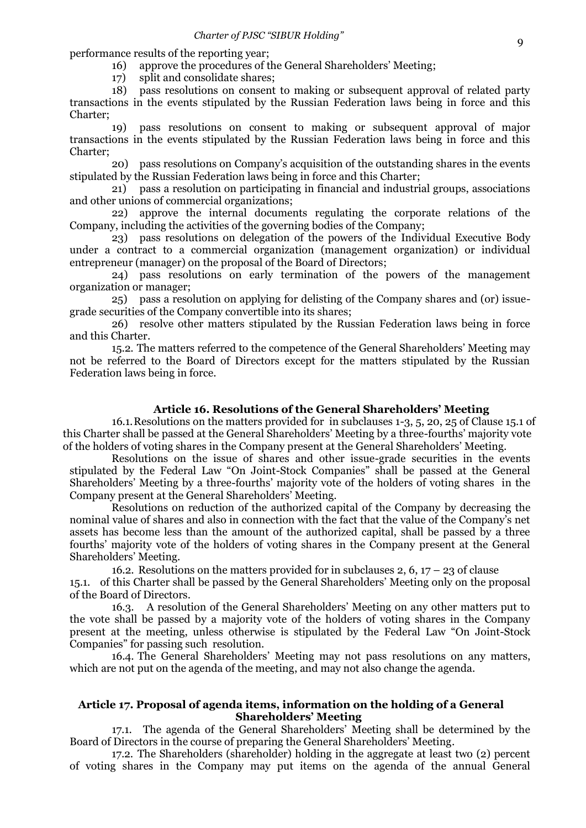performance results of the reporting year;

16) approve the procedures of the General Shareholders' Meeting;

17) split and consolidate shares;

18) pass resolutions on consent to making or subsequent approval of related party transactions in the events stipulated by the Russian Federation laws being in force and this Charter;

19) pass resolutions on consent to making or subsequent approval of major transactions in the events stipulated by the Russian Federation laws being in force and this Charter;

20) pass resolutions on Company's acquisition of the outstanding shares in the events stipulated by the Russian Federation laws being in force and this Charter;

21) pass a resolution on participating in financial and industrial groups, associations and other unions of commercial organizations;

22) approve the internal documents regulating the corporate relations of the Company, including the activities of the governing bodies of the Company;

23) pass resolutions on delegation of the powers of the Individual Executive Body under a contract to a commercial organization (management organization) or individual entrepreneur (manager) on the proposal of the Board of Directors;

24) pass resolutions on early termination of the powers of the management organization or manager;

25) pass a resolution on applying for delisting of the Company shares and (or) issuegrade securities of the Company convertible into its shares;

26) resolve other matters stipulated by the Russian Federation laws being in force and this Charter.

15.2. The matters referred to the competence of the General Shareholders' Meeting may not be referred to the Board of Directors except for the matters stipulated by the Russian Federation laws being in force.

### **Article 16. Resolutions of the General Shareholders' Meeting**

16.1.Resolutions on the matters provided for in subclauses 1-3, 5, 20, 25 of Clause 15.1 of this Charter shall be passed at the General Shareholders' Meeting by a three-fourths' majority vote of the holders of voting shares in the Company present at the General Shareholders' Meeting.

Resolutions on the issue of shares and other issue-grade securities in the events stipulated by the Federal Law "On Joint-Stock Companies" shall be passed at the General Shareholders' Meeting by a three-fourths' majority vote of the holders of voting shares in the Company present at the General Shareholders' Meeting.

Resolutions on reduction of the authorized capital of the Company by decreasing the nominal value of shares and also in connection with the fact that the value of the Company's net assets has become less than the amount of the authorized capital, shall be passed by a three fourths' majority vote of the holders of voting shares in the Company present at the General Shareholders' Meeting.

16.2. Resolutions on the matters provided for in subclauses 2, 6,  $17 - 23$  of clause 15.1. of this Charter shall be passed by the General Shareholders' Meeting only on the proposal of the Board of Directors.

16.3. A resolution of the General Shareholders' Meeting on any other matters put to the vote shall be passed by a majority vote of the holders of voting shares in the Company present at the meeting, unless otherwise is stipulated by the Federal Law "On Joint-Stock Companies" for passing such resolution.

16.4. The General Shareholders' Meeting may not pass resolutions on any matters, which are not put on the agenda of the meeting, and may not also change the agenda.

### **Article 17. Proposal of agenda items, information on the holding of a General Shareholders' Meeting**

17.1. The agenda of the General Shareholders' Meeting shall be determined by the Board of Directors in the course of preparing the General Shareholders' Meeting.

17.2. The Shareholders (shareholder) holding in the aggregate at least two (2) percent of voting shares in the Company may put items on the agenda of the annual General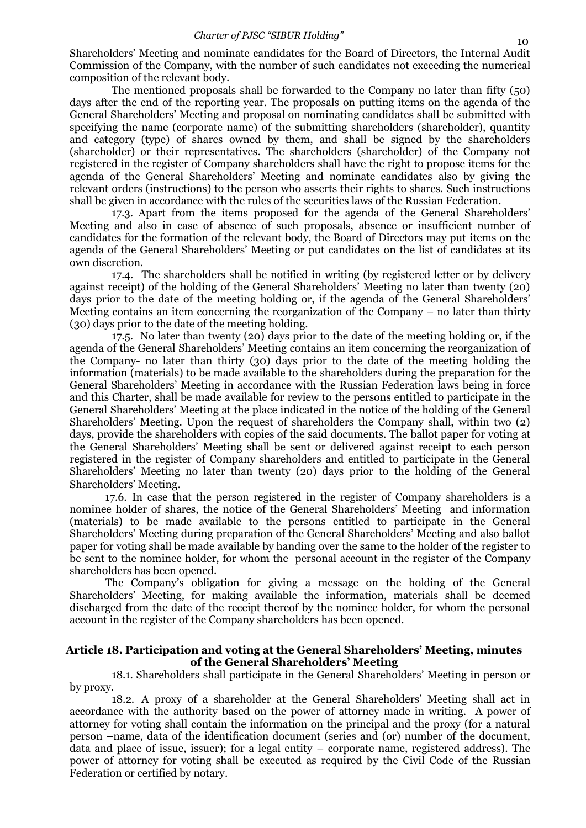Shareholders' Meeting and nominate candidates for the Board of Directors, the Internal Audit Commission of the Company, with the number of such candidates not exceeding the numerical composition of the relevant body.

The mentioned proposals shall be forwarded to the Company no later than fifty (50) days after the end of the reporting year. The proposals on putting items on the agenda of the General Shareholders' Meeting and proposal on nominating candidates shall be submitted with specifying the name (corporate name) of the submitting shareholders (shareholder), quantity and category (type) of shares owned by them, and shall be signed by the shareholders (shareholder) or their representatives. The shareholders (shareholder) of the Company not registered in the register of Company shareholders shall have the right to propose items for the agenda of the General Shareholders' Meeting and nominate candidates also by giving the relevant orders (instructions) to the person who asserts their rights to shares. Such instructions shall be given in accordance with the rules of the securities laws of the Russian Federation.

17.3. Apart from the items proposed for the agenda of the General Shareholders' Meeting and also in case of absence of such proposals, absence or insufficient number of candidates for the formation of the relevant body, the Board of Directors may put items on the agenda of the General Shareholders' Meeting or put candidates on the list of candidates at its own discretion.

17.4. The shareholders shall be notified in writing (by registered letter or by delivery against receipt) of the holding of the General Shareholders' Meeting no later than twenty (20) days prior to the date of the meeting holding or, if the agenda of the General Shareholders' Meeting contains an item concerning the reorganization of the Company – no later than thirty (30) days prior to the date of the meeting holding.

17.5. No later than twenty (20) days prior to the date of the meeting holding or, if the agenda of the General Shareholders' Meeting contains an item concerning the reorganization of the Company- no later than thirty (30) days prior to the date of the meeting holding the information (materials) to be made available to the shareholders during the preparation for the General Shareholders' Meeting in accordance with the Russian Federation laws being in force and this Charter, shall be made available for review to the persons entitled to participate in the General Shareholders' Meeting at the place indicated in the notice of the holding of the General Shareholders' Meeting. Upon the request of shareholders the Company shall, within two (2) days, provide the shareholders with copies of the said documents. The ballot paper for voting at the General Shareholders' Meeting shall be sent or delivered against receipt to each person registered in the register of Company shareholders and entitled to participate in the General Shareholders' Meeting no later than twenty (20) days prior to the holding of the General Shareholders' Meeting.

17.6. In case that the person registered in the register of Company shareholders is a nominee holder of shares, the notice of the General Shareholders' Meeting and information (materials) to be made available to the persons entitled to participate in the General Shareholders' Meeting during preparation of the General Shareholders' Meeting and also ballot paper for voting shall be made available by handing over the same to the holder of the register to be sent to the nominee holder, for whom the personal account in the register of the Company shareholders has been opened.

The Company's obligation for giving a message on the holding of the General Shareholders' Meeting, for making available the information, materials shall be deemed discharged from the date of the receipt thereof by the nominee holder, for whom the personal account in the register of the Company shareholders has been opened.

### **Article 18. Participation and voting at the General Shareholders' Meeting, minutes of the General Shareholders' Meeting**

18.1. Shareholders shall participate in the General Shareholders' Meeting in person or by proxy.

18.2. A proxy of a shareholder at the General Shareholders' Meeting shall act in accordance with the authority based on the power of attorney made in writing. A power of attorney for voting shall contain the information on the principal and the proxy (for a natural person –name, data of the identification document (series and (or) number of the document, data and place of issue, issuer); for a legal entity – corporate name, registered address). The power of attorney for voting shall be executed as required by the Civil Code of the Russian Federation or certified by notary.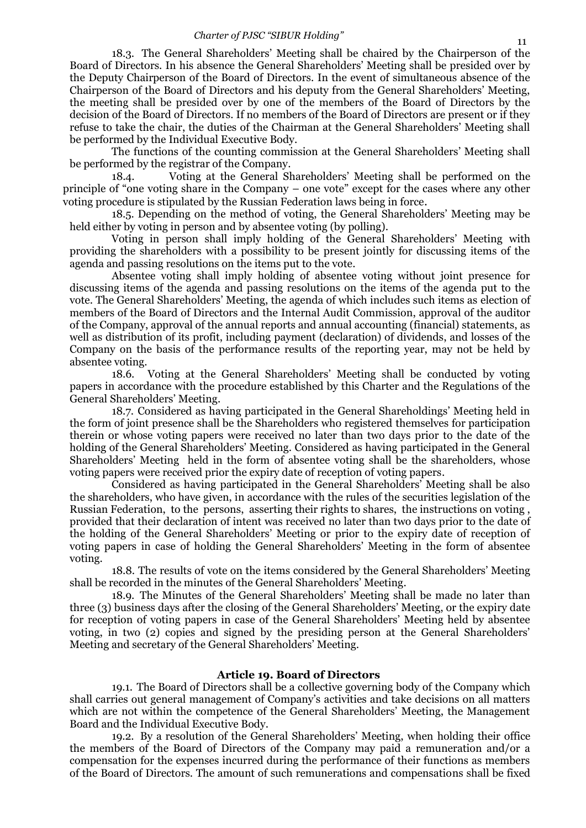#### *Charter of PJSC "SIBUR Holding"*

18.3. The General Shareholders' Meeting shall be chaired by the Chairperson of the Board of Directors. In his absence the General Shareholders' Meeting shall be presided over by the Deputy Chairperson of the Board of Directors. In the event of simultaneous absence of the Chairperson of the Board of Directors and his deputy from the General Shareholders' Meeting, the meeting shall be presided over by one of the members of the Board of Directors by the decision of the Board of Directors. If no members of the Board of Directors are present or if they refuse to take the chair, the duties of the Chairman at the General Shareholders' Meeting shall be performed by the Individual Executive Body.

The functions of the counting commission at the General Shareholders' Meeting shall be performed by the registrar of the Company.

18.4. Voting at the General Shareholders' Meeting shall be performed on the principle of "one voting share in the Company – one vote" except for the cases where any other voting procedure is stipulated by the Russian Federation laws being in force.

18.5. Depending on the method of voting, the General Shareholders' Meeting may be held either by voting in person and by absentee voting (by polling).

Voting in person shall imply holding of the General Shareholders' Meeting with providing the shareholders with a possibility to be present jointly for discussing items of the agenda and passing resolutions on the items put to the vote.

Absentee voting shall imply holding of absentee voting without joint presence for discussing items of the agenda and passing resolutions on the items of the agenda put to the vote. The General Shareholders' Meeting, the agenda of which includes such items as election of members of the Board of Directors and the Internal Audit Commission, approval of the auditor of the Company, approval of the annual reports and annual accounting (financial) statements, as well as distribution of its profit, including payment (declaration) of dividends, and losses of the Company on the basis of the performance results of the reporting year, may not be held by absentee voting.

18.6. Voting at the General Shareholders' Meeting shall be conducted by voting papers in accordance with the procedure established by this Charter and the Regulations of the General Shareholders' Meeting.

18.7. Considered as having participated in the General Shareholdings' Meeting held in the form of joint presence shall be the Shareholders who registered themselves for participation therein or whose voting papers were received no later than two days prior to the date of the holding of the General Shareholders' Meeting. Considered as having participated in the General Shareholders' Meeting held in the form of absentee voting shall be the shareholders, whose voting papers were received prior the expiry date of reception of voting papers.

Considered as having participated in the General Shareholders' Meeting shall be also the shareholders, who have given, in accordance with the rules of the securities legislation of the Russian Federation, to the persons, asserting their rights to shares, the instructions on voting , provided that their declaration of intent was received no later than two days prior to the date of the holding of the General Shareholders' Meeting or prior to the expiry date of reception of voting papers in case of holding the General Shareholders' Meeting in the form of absentee voting.

18.8. The results of vote on the items considered by the General Shareholders' Meeting shall be recorded in the minutes of the General Shareholders' Meeting.

18.9. The Minutes of the General Shareholders' Meeting shall be made no later than three (3) business days after the closing of the General Shareholders' Meeting, or the expiry date for reception of voting papers in case of the General Shareholders' Meeting held by absentee voting, in two (2) copies and signed by the presiding person at the General Shareholders' Meeting and secretary of the General Shareholders' Meeting.

# **Article 19. Board of Directors**

19.1. The Board of Directors shall be a collective governing body of the Company which shall carries out general management of Company's activities and take decisions on all matters which are not within the competence of the General Shareholders' Meeting, the Management Board and the Individual Executive Body.

19.2. By a resolution of the General Shareholders' Meeting, when holding their office the members of the Board of Directors of the Company may paid a remuneration and/or a compensation for the expenses incurred during the performance of their functions as members of the Board of Directors. The amount of such remunerations and compensations shall be fixed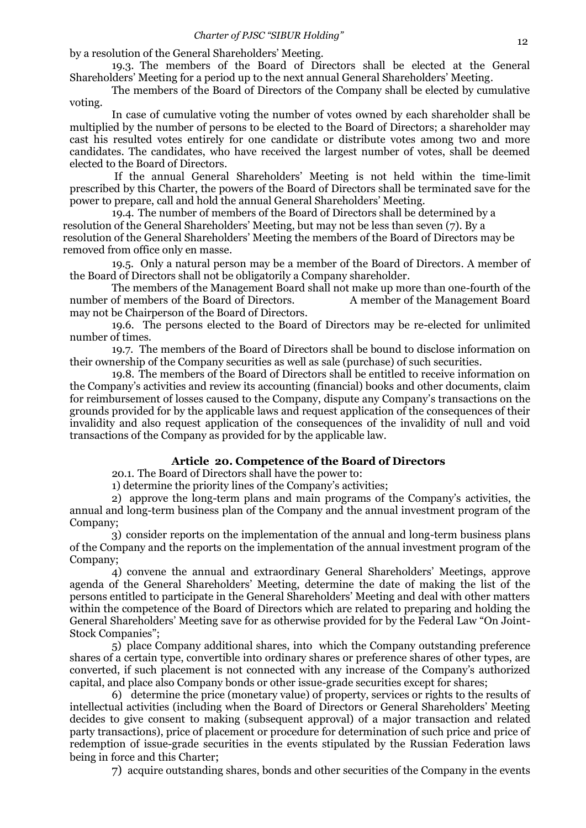by a resolution of the General Shareholders' Meeting.

19.3. The members of the Board of Directors shall be elected at the General Shareholders' Meeting for a period up to the next annual General Shareholders' Meeting.

The members of the Board of Directors of the Company shall be elected by cumulative voting.

In case of cumulative voting the number of votes owned by each shareholder shall be multiplied by the number of persons to be elected to the Board of Directors; a shareholder may cast his resulted votes entirely for one candidate or distribute votes among two and more candidates. The candidates, who have received the largest number of votes, shall be deemed elected to the Board of Directors.

If the annual General Shareholders' Meeting is not held within the time-limit prescribed by this Charter, the powers of the Board of Directors shall be terminated save for the power to prepare, call and hold the annual General Shareholders' Meeting.

19.4. The number of members of the Board of Directors shall be determined by a resolution of the General Shareholders' Meeting, but may not be less than seven (7). By a resolution of the General Shareholders' Meeting the members of the Board of Directors may be removed from office only en masse.

19.5. Only a natural person may be a member of the Board of Directors. A member of the Board of Directors shall not be obligatorily a Company shareholder.

The members of the Management Board shall not make up more than one-fourth of the of members of the Board of Directors. A member of the Management Board number of members of the Board of Directors. may not be Chairperson of the Board of Directors.

19.6. The persons elected to the Board of Directors may be re-elected for unlimited number of times.

19.7. The members of the Board of Directors shall be bound to disclose information on their ownership of the Company securities as well as sale (purchase) of such securities.

19.8. The members of the Board of Directors shall be entitled to receive information on the Company's activities and review its accounting (financial) books and other documents, claim for reimbursement of losses caused to the Company, dispute any Company's transactions on the grounds provided for by the applicable laws and request application of the consequences of their invalidity and also request application of the consequences of the invalidity of null and void transactions of the Company as provided for by the applicable law.

### **Article 20. Competence of the Board of Directors**

20.1. The Board of Directors shall have the power to:

1) determine the priority lines of the Company's activities;

2) approve the long-term plans and main programs of the Company's activities, the annual and long-term business plan of the Company and the annual investment program of the Company;

3) consider reports on the implementation of the annual and long-term business plans of the Company and the reports on the implementation of the annual investment program of the Company;

4) convene the annual and extraordinary General Shareholders' Meetings, approve agenda of the General Shareholders' Meeting, determine the date of making the list of the persons entitled to participate in the General Shareholders' Meeting and deal with other matters within the competence of the Board of Directors which are related to preparing and holding the General Shareholders' Meeting save for as otherwise provided for by the Federal Law "On Joint-Stock Companies";

5) place Company additional shares, into which the Company outstanding preference shares of a certain type, convertible into ordinary shares or preference shares of other types, are converted, if such placement is not connected with any increase of the Company's authorized capital, and place also Company bonds or other issue-grade securities except for shares;

6) determine the price (monetary value) of property, services or rights to the results of intellectual activities (including when the Board of Directors or General Shareholders' Meeting decides to give consent to making (subsequent approval) of a major transaction and related party transactions), price of placement or procedure for determination of such price and price of redemption of issue-grade securities in the events stipulated by the Russian Federation laws being in force and this Charter;

7) acquire outstanding shares, bonds and other securities of the Company in the events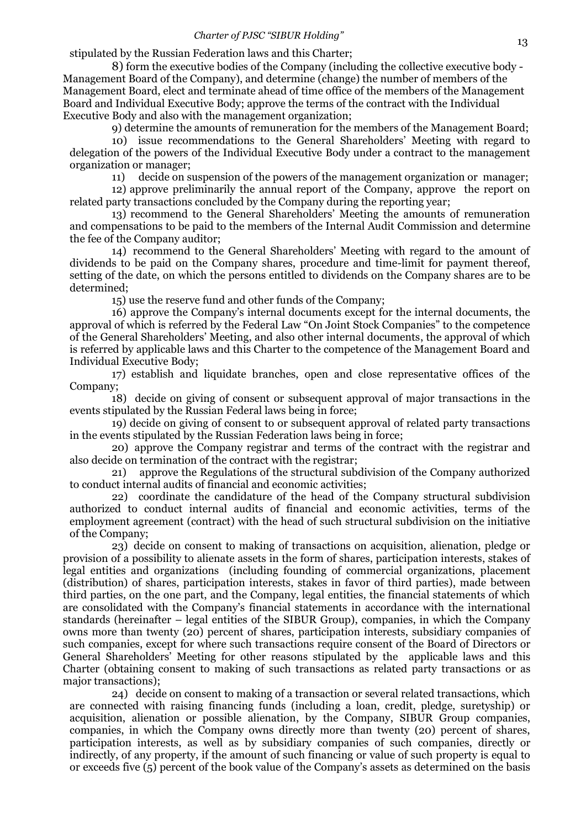stipulated by the Russian Federation laws and this Charter;

8) form the executive bodies of the Company (including the collective executive body - Management Board of the Company), and determine (change) the number of members of the Management Board, elect and terminate ahead of time office of the members of the Management Board and Individual Executive Body; approve the terms of the contract with the Individual Executive Body and also with the management organization;

9) determine the amounts of remuneration for the members of the Management Board;

10) issue recommendations to the General Shareholders' Meeting with regard to delegation of the powers of the Individual Executive Body under a contract to the management organization or manager;<br>11) decide on su

decide on suspension of the powers of the management organization or manager;

12) approve preliminarily the annual report of the Company, approve the report on related party transactions concluded by the Company during the reporting year;

13) recommend to the General Shareholders' Meeting the amounts of remuneration and compensations to be paid to the members of the Internal Audit Commission and determine the fee of the Company auditor;

14) recommend to the General Shareholders' Meeting with regard to the amount of dividends to be paid on the Company shares, procedure and time-limit for payment thereof, setting of the date, on which the persons entitled to dividends on the Company shares are to be determined;

15) use the reserve fund and other funds of the Company;

16) approve the Company's internal documents except for the internal documents, the approval of which is referred by the Federal Law "On Joint Stock Companies" to the competence of the General Shareholders' Meeting, and also other internal documents, the approval of which is referred by applicable laws and this Charter to the competence of the Management Board and Individual Executive Body;

17) establish and liquidate branches, open and close representative offices of the Company;

18) decide on giving of consent or subsequent approval of major transactions in the events stipulated by the Russian Federal laws being in force;

19) decide on giving of consent to or subsequent approval of related party transactions in the events stipulated by the Russian Federation laws being in force;

20) approve the Company registrar and terms of the contract with the registrar and also decide on termination of the contract with the registrar;

21) approve the Regulations of the structural subdivision of the Company authorized to conduct internal audits of financial and economic activities;

22) coordinate the candidature of the head of the Company structural subdivision authorized to conduct internal audits of financial and economic activities, terms of the employment agreement (contract) with the head of such structural subdivision on the initiative of the Company;

23) decide on consent to making of transactions on acquisition, alienation, pledge or provision of a possibility to alienate assets in the form of shares, participation interests, stakes of legal entities and organizations (including founding of commercial organizations, placement (distribution) of shares, participation interests, stakes in favor of third parties), made between third parties, on the one part, and the Company, legal entities, the financial statements of which are consolidated with the Company's financial statements in accordance with the international standards (hereinafter – legal entities of the SIBUR Group), companies, in which the Company owns more than twenty (20) percent of shares, participation interests, subsidiary companies of such companies, except for where such transactions require consent of the Board of Directors or General Shareholders' Meeting for other reasons stipulated by the applicable laws and this Charter (obtaining consent to making of such transactions as related party transactions or as major transactions);

24) decide on consent to making of a transaction or several related transactions, which are connected with raising financing funds (including a loan, credit, pledge, suretyship) or acquisition, alienation or possible alienation, by the Company, SIBUR Group companies, companies, in which the Company owns directly more than twenty (20) percent of shares, participation interests, as well as by subsidiary companies of such companies, directly or indirectly, of any property, if the amount of such financing or value of such property is equal to or exceeds five (5) percent of the book value of the Company's assets as determined on the basis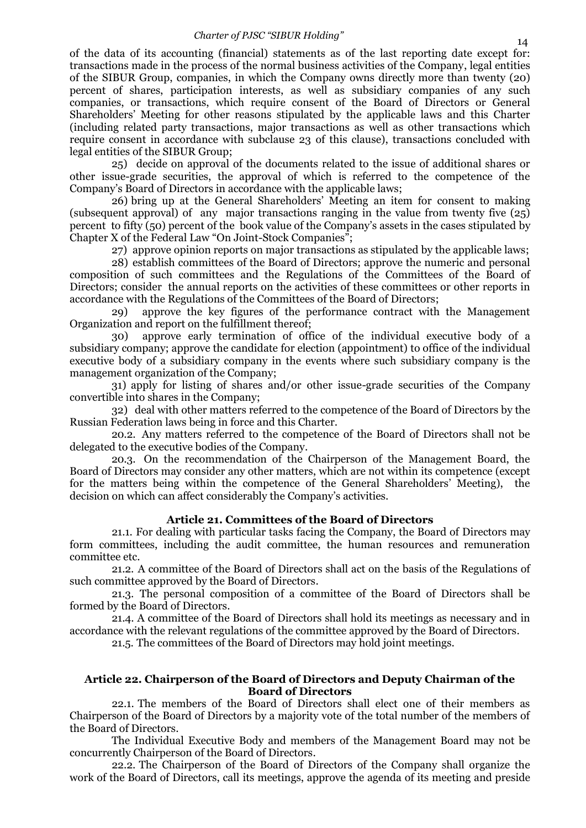of the data of its accounting (financial) statements as of the last reporting date except for: transactions made in the process of the normal business activities of the Company, legal entities of the SIBUR Group, companies, in which the Company owns directly more than twenty (20) percent of shares, participation interests, as well as subsidiary companies of any such companies, or transactions, which require consent of the Board of Directors or General Shareholders' Meeting for other reasons stipulated by the applicable laws and this Charter (including related party transactions, major transactions as well as other transactions which require consent in accordance with subclause 23 of this clause), transactions concluded with legal entities of the SIBUR Group;

25) decide on approval of the documents related to the issue of additional shares or other issue-grade securities, the approval of which is referred to the competence of the Company's Board of Directors in accordance with the applicable laws;

26) bring up at the General Shareholders' Meeting an item for consent to making (subsequent approval) of any major transactions ranging in the value from twenty five (25) percent to fifty (50) percent of the book value of the Company's assets in the cases stipulated by Chapter X of the Federal Law "On Joint-Stock Companies";

27) approve opinion reports on major transactions as stipulated by the applicable laws;

28) establish committees of the Board of Directors; approve the numeric and personal composition of such committees and the Regulations of the Committees of the Board of Directors; consider the annual reports on the activities of these committees or other reports in accordance with the Regulations of the Committees of the Board of Directors;

29) approve the key figures of the performance contract with the Management Organization and report on the fulfillment thereof;

30) approve early termination of office of the individual executive body of a subsidiary company; approve the candidate for election (appointment) to office of the individual executive body of a subsidiary company in the events where such subsidiary company is the management organization of the Company;

31) apply for listing of shares and/or other issue-grade securities of the Company convertible into shares in the Company;

32) deal with other matters referred to the competence of the Board of Directors by the Russian Federation laws being in force and this Charter.

20.2. Any matters referred to the competence of the Board of Directors shall not be delegated to the executive bodies of the Company.

20.3. On the recommendation of the Chairperson of the Management Board, the Board of Directors may consider any other matters, which are not within its competence (except for the matters being within the competence of the General Shareholders' Meeting), the decision on which can affect considerably the Company's activities.

# **Article 21. Committees of the Board of Directors**

21.1. For dealing with particular tasks facing the Company, the Board of Directors may form committees, including the audit committee, the human resources and remuneration committee etc.

21.2. A committee of the Board of Directors shall act on the basis of the Regulations of such committee approved by the Board of Directors.

21.3. The personal composition of a committee of the Board of Directors shall be formed by the Board of Directors.

21.4. A committee of the Board of Directors shall hold its meetings as necessary and in accordance with the relevant regulations of the committee approved by the Board of Directors.

21.5. The committees of the Board of Directors may hold joint meetings.

### **Article 22. Chairperson of the Board of Directors and Deputy Chairman of the Board of Directors**

22.1. The members of the Board of Directors shall elect one of their members as Chairperson of the Board of Directors by a majority vote of the total number of the members of the Board of Directors.

The Individual Executive Body and members of the Management Board may not be concurrently Chairperson of the Board of Directors.

22.2. The Chairperson of the Board of Directors of the Company shall organize the work of the Board of Directors, call its meetings, approve the agenda of its meeting and preside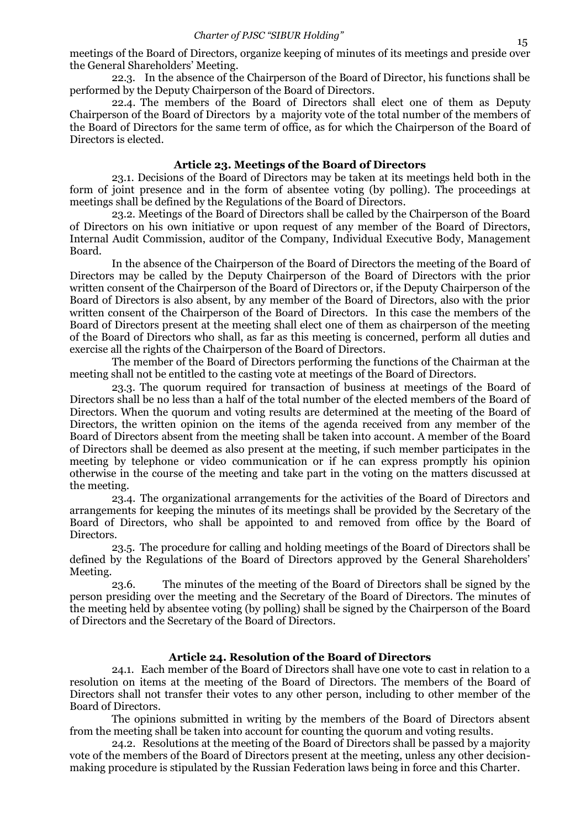meetings of the Board of Directors, organize keeping of minutes of its meetings and preside over the General Shareholders' Meeting.

22.3. In the absence of the Chairperson of the Board of Director, his functions shall be performed by the Deputy Chairperson of the Board of Directors.

22.4. The members of the Board of Directors shall elect one of them as Deputy Chairperson of the Board of Directors by a majority vote of the total number of the members of the Board of Directors for the same term of office, as for which the Chairperson of the Board of Directors is elected.

### **Article 23. Meetings of the Board of Directors**

23.1. Decisions of the Board of Directors may be taken at its meetings held both in the form of joint presence and in the form of absentee voting (by polling). The proceedings at meetings shall be defined by the Regulations of the Board of Directors.

23.2. Meetings of the Board of Directors shall be called by the Chairperson of the Board of Directors on his own initiative or upon request of any member of the Board of Directors, Internal Audit Commission, auditor of the Company, Individual Executive Body, Management Board.

In the absence of the Chairperson of the Board of Directors the meeting of the Board of Directors may be called by the Deputy Chairperson of the Board of Directors with the prior written consent of the Chairperson of the Board of Directors or, if the Deputy Chairperson of the Board of Directors is also absent, by any member of the Board of Directors, also with the prior written consent of the Chairperson of the Board of Directors. In this case the members of the Board of Directors present at the meeting shall elect one of them as chairperson of the meeting of the Board of Directors who shall, as far as this meeting is concerned, perform all duties and exercise all the rights of the Chairperson of the Board of Directors.

The member of the Board of Directors performing the functions of the Chairman at the meeting shall not be entitled to the casting vote at meetings of the Board of Directors.

23.3. The quorum required for transaction of business at meetings of the Board of Directors shall be no less than a half of the total number of the elected members of the Board of Directors. When the quorum and voting results are determined at the meeting of the Board of Directors, the written opinion on the items of the agenda received from any member of the Board of Directors absent from the meeting shall be taken into account. A member of the Board of Directors shall be deemed as also present at the meeting, if such member participates in the meeting by telephone or video communication or if he can express promptly his opinion otherwise in the course of the meeting and take part in the voting on the matters discussed at the meeting.

23.4. The organizational arrangements for the activities of the Board of Directors and arrangements for keeping the minutes of its meetings shall be provided by the Secretary of the Board of Directors, who shall be appointed to and removed from office by the Board of Directors.

23.5. The procedure for calling and holding meetings of the Board of Directors shall be defined by the Regulations of the Board of Directors approved by the General Shareholders' Meeting.

23.6. The minutes of the meeting of the Board of Directors shall be signed by the person presiding over the meeting and the Secretary of the Board of Directors. The minutes of the meeting held by absentee voting (by polling) shall be signed by the Chairperson of the Board of Directors and the Secretary of the Board of Directors.

### **Article 24. Resolution of the Board of Directors**

24.1. Each member of the Board of Directors shall have one vote to cast in relation to a resolution on items at the meeting of the Board of Directors. The members of the Board of Directors shall not transfer their votes to any other person, including to other member of the Board of Directors.

The opinions submitted in writing by the members of the Board of Directors absent from the meeting shall be taken into account for counting the quorum and voting results.

24.2. Resolutions at the meeting of the Board of Directors shall be passed by a majority vote of the members of the Board of Directors present at the meeting, unless any other decisionmaking procedure is stipulated by the Russian Federation laws being in force and this Charter.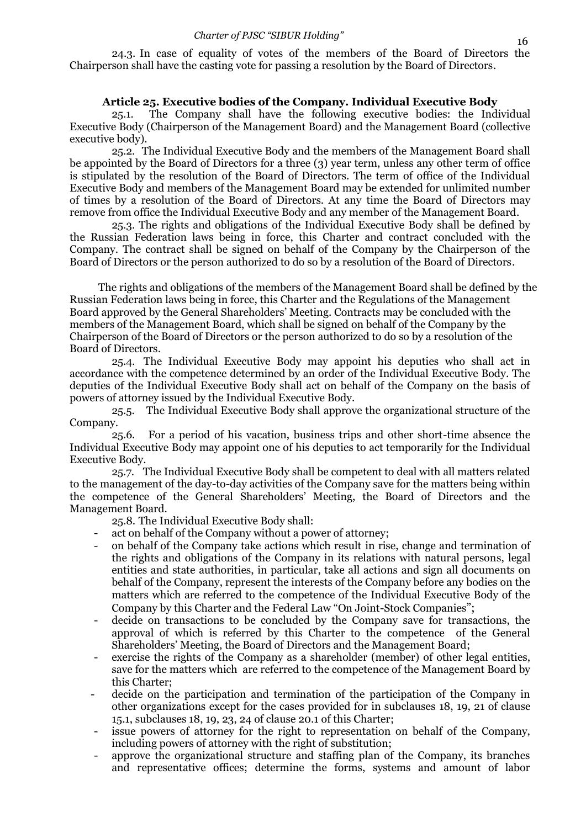24.3. In case of equality of votes of the members of the Board of Directors the Chairperson shall have the casting vote for passing a resolution by the Board of Directors.

# **Article 25. Executive bodies of the Company. Individual Executive Body**

25.1. The Company shall have the following executive bodies: the Individual Executive Body (Chairperson of the Management Board) and the Management Board (collective executive body).

25.2. The Individual Executive Body and the members of the Management Board shall be appointed by the Board of Directors for a three (3) year term, unless any other term of office is stipulated by the resolution of the Board of Directors. The term of office of the Individual Executive Body and members of the Management Board may be extended for unlimited number of times by a resolution of the Board of Directors. At any time the Board of Directors may remove from office the Individual Executive Body and any member of the Management Board.

25.3. The rights and obligations of the Individual Executive Body shall be defined by the Russian Federation laws being in force, this Charter and contract concluded with the Company. The contract shall be signed on behalf of the Company by the Chairperson of the Board of Directors or the person authorized to do so by a resolution of the Board of Directors.

The rights and obligations of the members of the Management Board shall be defined by the Russian Federation laws being in force, this Charter and the Regulations of the Management Board approved by the General Shareholders' Meeting. Contracts may be concluded with the members of the Management Board, which shall be signed on behalf of the Company by the Chairperson of the Board of Directors or the person authorized to do so by a resolution of the Board of Directors.

25.4. The Individual Executive Body may appoint his deputies who shall act in accordance with the competence determined by an order of the Individual Executive Body. The deputies of the Individual Executive Body shall act on behalf of the Company on the basis of powers of attorney issued by the Individual Executive Body.

25.5. The Individual Executive Body shall approve the organizational structure of the Company.

25.6. For a period of his vacation, business trips and other short-time absence the Individual Executive Body may appoint one of his deputies to act temporarily for the Individual Executive Body.

25.7. The Individual Executive Body shall be competent to deal with all matters related to the management of the day-to-day activities of the Company save for the matters being within the competence of the General Shareholders' Meeting, the Board of Directors and the Management Board.

25.8. The Individual Executive Body shall:

- act on behalf of the Company without a power of attorney;
- on behalf of the Company take actions which result in rise, change and termination of the rights and obligations of the Company in its relations with natural persons, legal entities and state authorities, in particular, take all actions and sign all documents on behalf of the Company, represent the interests of the Company before any bodies on the matters which are referred to the competence of the Individual Executive Body of the Company by this Charter and the Federal Law "On Joint-Stock Companies";
- decide on transactions to be concluded by the Company save for transactions, the approval of which is referred by this Charter to the competence of the General Shareholders' Meeting, the Board of Directors and the Management Board;
- exercise the rights of the Company as a shareholder (member) of other legal entities, save for the matters which are referred to the competence of the Management Board by this Charter;
- decide on the participation and termination of the participation of the Company in other organizations except for the cases provided for in subclauses 18, 19, 21 of clause 15.1, subclauses 18, 19, 23, 24 of clause 20.1 of this Charter;
- issue powers of attorney for the right to representation on behalf of the Company, including powers of attorney with the right of substitution;
- approve the organizational structure and staffing plan of the Company, its branches and representative offices; determine the forms, systems and amount of labor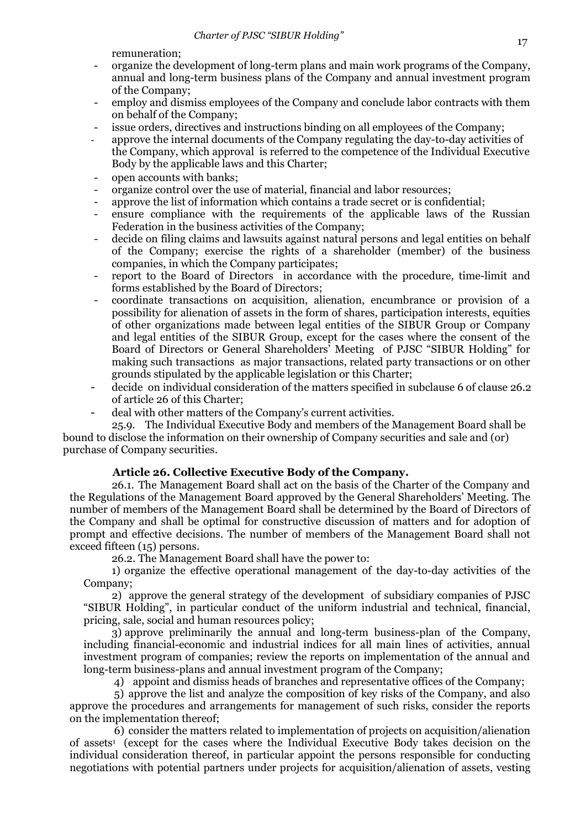remuneration;

- organize the development of long-term plans and main work programs of the Company, annual and long-term business plans of the Company and annual investment program of the Company;
- employ and dismiss employees of the Company and conclude labor contracts with them on behalf of the Company;
- issue orders, directives and instructions binding on all employees of the Company;
- approve the internal documents of the Company regulating the day-to-day activities of the Company, which approval is referred to the competence of the Individual Executive Body by the applicable laws and this Charter;
- open accounts with banks;
- organize control over the use of material, financial and labor resources;
- approve the list of information which contains a trade secret or is confidential;
- ensure compliance with the requirements of the applicable laws of the Russian Federation in the business activities of the Company;
- decide on filing claims and lawsuits against natural persons and legal entities on behalf of the Company; exercise the rights of a shareholder (member) of the business companies, in which the Company participates;
- report to the Board of Directors in accordance with the procedure, time-limit and forms established by the Board of Directors;
- coordinate transactions on acquisition, alienation, encumbrance or provision of a possibility for alienation of assets in the form of shares, participation interests, equities of other organizations made between legal entities of the SIBUR Group or Company and legal entities of the SIBUR Group, except for the cases where the consent of the Board of Directors or General Shareholders' Meeting of PJSC "SIBUR Holding" for making such transactions as major transactions, related party transactions or on other grounds stipulated by the applicable legislation or this Charter;
- decide on individual consideration of the matters specified in subclause 6 of clause 26.2 of article 26 of this Charter;
- deal with other matters of the Company's current activities.

25.9. The Individual Executive Body and members of the Management Board shall be bound to disclose the information on their ownership of Company securities and sale and (or) purchase of Company securities.

# **Article 26. Collective Executive Body of the Company.**

26.1. The Management Board shall act on the basis of the Charter of the Company and the Regulations of the Management Board approved by the General Shareholders' Meeting. The number of members of the Management Board shall be determined by the Board of Directors of the Company and shall be optimal for constructive discussion of matters and for adoption of prompt and effective decisions. The number of members of the Management Board shall not exceed fifteen (15) persons.

26.2. The Management Board shall have the power to:

1) organize the effective operational management of the day-to-day activities of the Company;

2) approve the general strategy of the development of subsidiary companies of PJSC "SIBUR Holding", in particular conduct of the uniform industrial and technical, financial, pricing, sale, social and human resources policy;

3) approve preliminarily the annual and long-term business-plan of the Company, including financial-economic and industrial indices for all main lines of activities, annual investment program of companies; review the reports on implementation of the annual and long-term business-plans and annual investment program of the Company;

4) appoint and dismiss heads of branches and representative offices of the Company;

5) approve the list and analyze the composition of key risks of the Company, and also approve the procedures and arrangements for management of such risks, consider the reports on the implementation thereof;

6) consider the matters related to implementation of projects on acquisition/alienation of assets1 (except for the cases where the Individual Executive Body takes decision on the individual consideration thereof, in particular appoint the persons responsible for conducting negotiations with potential partners under projects for acquisition/alienation of assets, vesting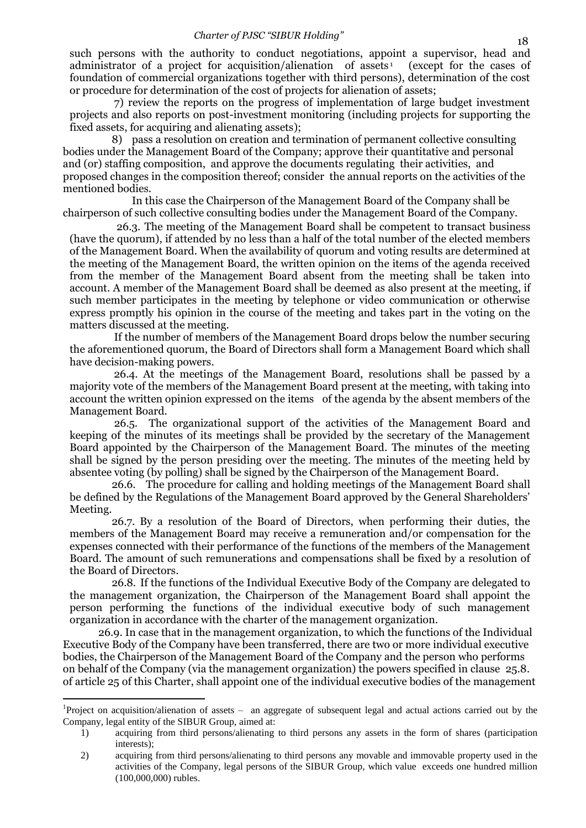# *Charter of PJSC "SIBUR Holding"* 18

such persons with the authority to conduct negotiations, appoint a supervisor, head and administrator of a project for acquisition/alienation of assets<sup>1</sup> (except for the cases of foundation of commercial organizations together with third persons), determination of the cost or procedure for determination of the cost of projects for alienation of assets;

7) review the reports on the progress of implementation of large budget investment projects and also reports on post-investment monitoring (including projects for supporting the fixed assets, for acquiring and alienating assets);

8) pass a resolution on creation and termination of permanent collective consulting bodies under the Management Board of the Company; approve their quantitative and personal and (or) staffing composition, and approve the documents regulating their activities, and proposed changes in the composition thereof; consider the annual reports on the activities of the mentioned bodies.

In this case the Chairperson of the Management Board of the Company shall be chairperson of such collective consulting bodies under the Management Board of the Company.

26.3. The meeting of the Management Board shall be competent to transact business (have the quorum), if attended by no less than a half of the total number of the elected members of the Management Board. When the availability of quorum and voting results are determined at the meeting of the Management Board, the written opinion on the items of the agenda received from the member of the Management Board absent from the meeting shall be taken into account. A member of the Management Board shall be deemed as also present at the meeting, if such member participates in the meeting by telephone or video communication or otherwise express promptly his opinion in the course of the meeting and takes part in the voting on the matters discussed at the meeting.

If the number of members of the Management Board drops below the number securing the aforementioned quorum, the Board of Directors shall form a Management Board which shall have decision-making powers.

26.4. At the meetings of the Management Board, resolutions shall be passed by a majority vote of the members of the Management Board present at the meeting, with taking into account the written opinion expressed on the items of the agenda by the absent members of the Management Board.

26.5. The organizational support of the activities of the Management Board and keeping of the minutes of its meetings shall be provided by the secretary of the Management Board appointed by the Chairperson of the Management Board. The minutes of the meeting shall be signed by the person presiding over the meeting. The minutes of the meeting held by absentee voting (by polling) shall be signed by the Chairperson of the Management Board.

26.6. The procedure for calling and holding meetings of the Management Board shall be defined by the Regulations of the Management Board approved by the General Shareholders' Meeting.

26.7. By a resolution of the Board of Directors, when performing their duties, the members of the Management Board may receive a remuneration and/or compensation for the expenses connected with their performance of the functions of the members of the Management Board. The amount of such remunerations and compensations shall be fixed by a resolution of the Board of Directors.

26.8. If the functions of the Individual Executive Body of the Company are delegated to the management organization, the Chairperson of the Management Board shall appoint the person performing the functions of the individual executive body of such management organization in accordance with the charter of the management organization.

26.9. In case that in the management organization, to which the functions of the Individual Executive Body of the Company have been transferred, there are two or more individual executive bodies, the Chairperson of the Management Board of the Company and the person who performs on behalf of the Company (via the management organization) the powers specified in clause 25.8. of article 25 of this Charter, shall appoint one of the individual executive bodies of the management

 $\overline{a}$ 

<sup>&</sup>lt;sup>1</sup>Project on acquisition/alienation of assets – an aggregate of subsequent legal and actual actions carried out by the Company, legal entity of the SIBUR Group, aimed at:

<sup>1)</sup> acquiring from third persons/alienating to third persons any assets in the form of shares (participation interests);

<sup>2)</sup> acquiring from third persons/alienating to third persons any movable and immovable property used in the activities of the Company, legal persons of the SIBUR Group, which value exceeds one hundred million (100,000,000) rubles.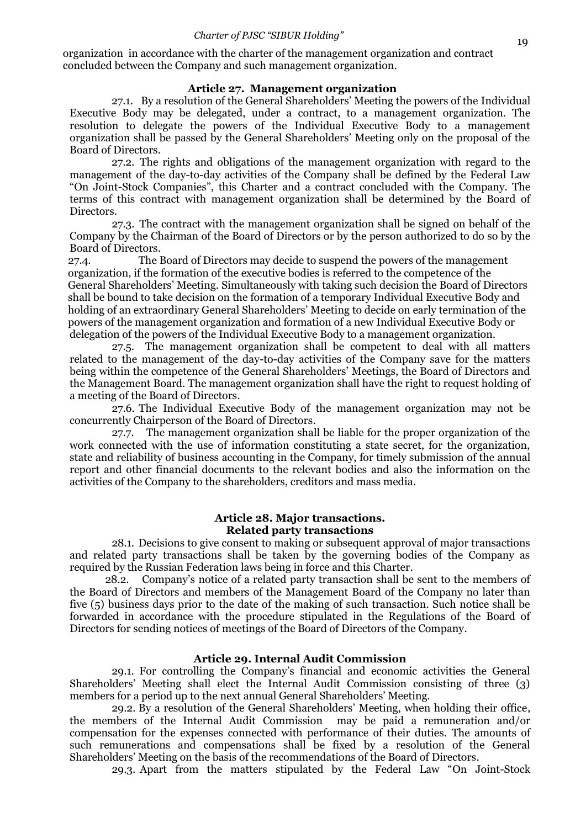organization in accordance with the charter of the management organization and contract concluded between the Company and such management organization.

### **Article 27. Management organization**

27.1. By a resolution of the General Shareholders' Meeting the powers of the Individual Executive Body may be delegated, under a contract, to a management organization. The resolution to delegate the powers of the Individual Executive Body to a management organization shall be passed by the General Shareholders' Meeting only on the proposal of the Board of Directors.

27.2. The rights and obligations of the management organization with regard to the management of the day-to-day activities of the Company shall be defined by the Federal Law "On Joint-Stock Companies", this Charter and a contract concluded with the Company. The terms of this contract with management organization shall be determined by the Board of Directors.

27.3. The contract with the management organization shall be signed on behalf of the Company by the Chairman of the Board of Directors or by the person authorized to do so by the Board of Directors.

27.4. The Board of Directors may decide to suspend the powers of the management organization, if the formation of the executive bodies is referred to the competence of the General Shareholders' Meeting. Simultaneously with taking such decision the Board of Directors shall be bound to take decision on the formation of a temporary Individual Executive Body and holding of an extraordinary General Shareholders' Meeting to decide on early termination of the powers of the management organization and formation of a new Individual Executive Body or delegation of the powers of the Individual Executive Body to a management organization.

27.5. The management organization shall be competent to deal with all matters related to the management of the day-to-day activities of the Company save for the matters being within the competence of the General Shareholders' Meetings, the Board of Directors and the Management Board. The management organization shall have the right to request holding of a meeting of the Board of Directors.

27.6. The Individual Executive Body of the management organization may not be concurrently Chairperson of the Board of Directors.

27.7. The management organization shall be liable for the proper organization of the work connected with the use of information constituting a state secret, for the organization, state and reliability of business accounting in the Company, for timely submission of the annual report and other financial documents to the relevant bodies and also the information on the activities of the Company to the shareholders, creditors and mass media.

### **Article 28. Major transactions. Related party transactions**

28.1. Decisions to give consent to making or subsequent approval of major transactions and related party transactions shall be taken by the governing bodies of the Company as required by the Russian Federation laws being in force and this Charter.

28.2. Company's notice of a related party transaction shall be sent to the members of the Board of Directors and members of the Management Board of the Company no later than five (5) business days prior to the date of the making of such transaction. Such notice shall be forwarded in accordance with the procedure stipulated in the Regulations of the Board of Directors for sending notices of meetings of the Board of Directors of the Company.

### **Article 29. Internal Audit Commission**

29.1. For controlling the Company's financial and economic activities the General Shareholders' Meeting shall elect the Internal Audit Commission consisting of three (3) members for a period up to the next annual General Shareholders' Meeting.

29.2. By a resolution of the General Shareholders' Meeting, when holding their office, the members of the Internal Audit Commission may be paid a remuneration and/or compensation for the expenses connected with performance of their duties. The amounts of such remunerations and compensations shall be fixed by a resolution of the General Shareholders' Meeting on the basis of the recommendations of the Board of Directors.

29.3. Apart from the matters stipulated by the Federal Law "On Joint-Stock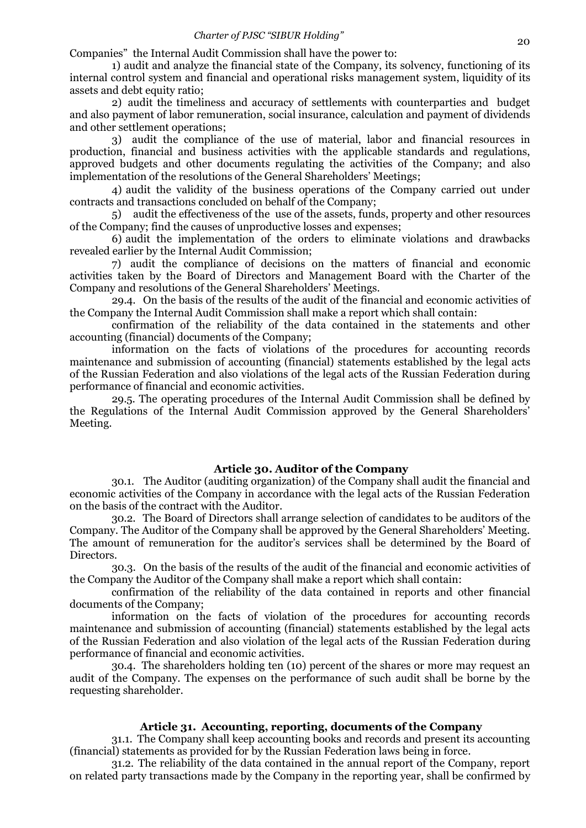Companies" the Internal Audit Commission shall have the power to:

1) audit and analyze the financial state of the Company, its solvency, functioning of its internal control system and financial and operational risks management system, liquidity of its assets and debt equity ratio;

2) audit the timeliness and accuracy of settlements with counterparties and budget and also payment of labor remuneration, social insurance, calculation and payment of dividends and other settlement operations;

3) audit the compliance of the use of material, labor and financial resources in production, financial and business activities with the applicable standards and regulations, approved budgets and other documents regulating the activities of the Company; and also implementation of the resolutions of the General Shareholders' Meetings;

4) audit the validity of the business operations of the Company carried out under contracts and transactions concluded on behalf of the Company;

5) audit the effectiveness of the use of the assets, funds, property and other resources of the Company; find the causes of unproductive losses and expenses;

6) audit the implementation of the orders to eliminate violations and drawbacks revealed earlier by the Internal Audit Commission;

7) audit the compliance of decisions on the matters of financial and economic activities taken by the Board of Directors and Management Board with the Charter of the Company and resolutions of the General Shareholders' Meetings.

29.4. On the basis of the results of the audit of the financial and economic activities of the Company the Internal Audit Commission shall make a report which shall contain:

confirmation of the reliability of the data contained in the statements and other accounting (financial) documents of the Company;

information on the facts of violations of the procedures for accounting records maintenance and submission of accounting (financial) statements established by the legal acts of the Russian Federation and also violations of the legal acts of the Russian Federation during performance of financial and economic activities.

29.5. The operating procedures of the Internal Audit Commission shall be defined by the Regulations of the Internal Audit Commission approved by the General Shareholders' Meeting.

### **Article 30. Auditor of the Company**

30.1. The Auditor (auditing organization) of the Company shall audit the financial and economic activities of the Company in accordance with the legal acts of the Russian Federation on the basis of the contract with the Auditor.

30.2. The Board of Directors shall arrange selection of candidates to be auditors of the Company. The Auditor of the Company shall be approved by the General Shareholders' Meeting. The amount of remuneration for the auditor's services shall be determined by the Board of Directors.

30.3. On the basis of the results of the audit of the financial and economic activities of the Company the Auditor of the Company shall make a report which shall contain:

confirmation of the reliability of the data contained in reports and other financial documents of the Company;

information on the facts of violation of the procedures for accounting records maintenance and submission of accounting (financial) statements established by the legal acts of the Russian Federation and also violation of the legal acts of the Russian Federation during performance of financial and economic activities.

30.4. The shareholders holding ten (10) percent of the shares or more may request an audit of the Company. The expenses on the performance of such audit shall be borne by the requesting shareholder.

### **Article 31. Accounting, reporting, documents of the Company**

31.1. The Company shall keep accounting books and records and present its accounting (financial) statements as provided for by the Russian Federation laws being in force.

31.2. The reliability of the data contained in the annual report of the Company, report on related party transactions made by the Company in the reporting year, shall be confirmed by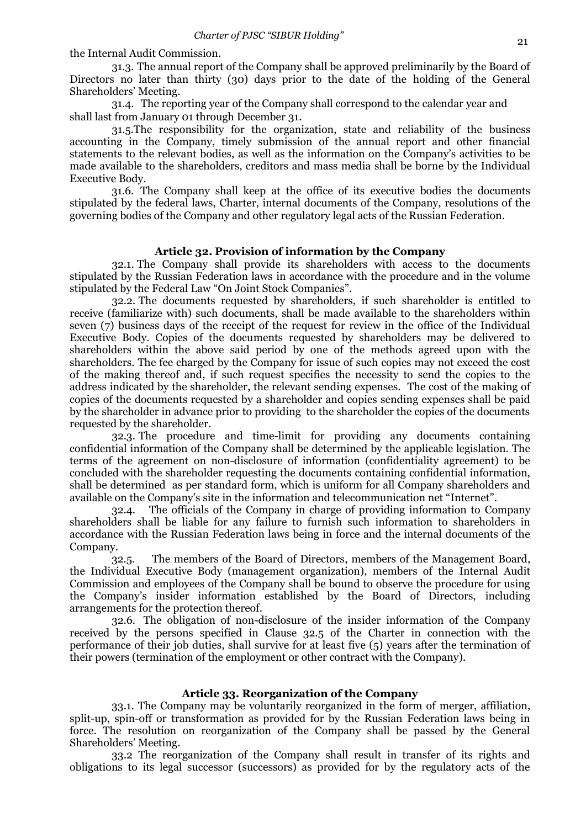the Internal Audit Commission.

31.3. The annual report of the Company shall be approved preliminarily by the Board of Directors no later than thirty (30) days prior to the date of the holding of the General Shareholders' Meeting.

31.4. The reporting year of the Company shall correspond to the calendar year and shall last from January 01 through December 31.

31.5.The responsibility for the organization, state and reliability of the business accounting in the Company, timely submission of the annual report and other financial statements to the relevant bodies, as well as the information on the Company's activities to be made available to the shareholders, creditors and mass media shall be borne by the Individual Executive Body.

31.6. The Company shall keep at the office of its executive bodies the documents stipulated by the federal laws, Charter, internal documents of the Company, resolutions of the governing bodies of the Company and other regulatory legal acts of the Russian Federation.

# **Article 32. Provision of information by the Company**

32.1. The Company shall provide its shareholders with access to the documents stipulated by the Russian Federation laws in accordance with the procedure and in the volume stipulated by the Federal Law "On Joint Stock Companies".

32.2. The documents requested by shareholders, if such shareholder is entitled to receive (familiarize with) such documents, shall be made available to the shareholders within seven (7) business days of the receipt of the request for review in the office of the Individual Executive Body. Copies of the documents requested by shareholders may be delivered to shareholders within the above said period by one of the methods agreed upon with the shareholders. The fee charged by the Company for issue of such copies may not exceed the cost of the making thereof and, if such request specifies the necessity to send the copies to the address indicated by the shareholder, the relevant sending expenses. The cost of the making of copies of the documents requested by a shareholder and copies sending expenses shall be paid by the shareholder in advance prior to providing to the shareholder the copies of the documents requested by the shareholder.

32.3. The procedure and time-limit for providing any documents containing confidential information of the Company shall be determined by the applicable legislation. The terms of the agreement on non-disclosure of information (confidentiality agreement) to be concluded with the shareholder requesting the documents containing confidential information, shall be determined as per standard form, which is uniform for all Company shareholders and available on the Company's site in the information and telecommunication net "Internet".

32.4. The officials of the Company in charge of providing information to Company shareholders shall be liable for any failure to furnish such information to shareholders in accordance with the Russian Federation laws being in force and the internal documents of the Company.

32.5. The members of the Board of Directors, members of the Management Board, the Individual Executive Body (management organization), members of the Internal Audit Commission and employees of the Company shall be bound to observe the procedure for using the Company's insider information established by the Board of Directors, including arrangements for the protection thereof.

32.6. The obligation of non-disclosure of the insider information of the Company received by the persons specified in Clause 32.5 of the Charter in connection with the performance of their job duties, shall survive for at least five (5) years after the termination of their powers (termination of the employment or other contract with the Company).

### **Article 33. Reorganization of the Company**

33.1. The Company may be voluntarily reorganized in the form of merger, affiliation, split-up, spin-off or transformation as provided for by the Russian Federation laws being in force. The resolution on reorganization of the Company shall be passed by the General Shareholders' Meeting.

33.2 The reorganization of the Company shall result in transfer of its rights and obligations to its legal successor (successors) as provided for by the regulatory acts of the